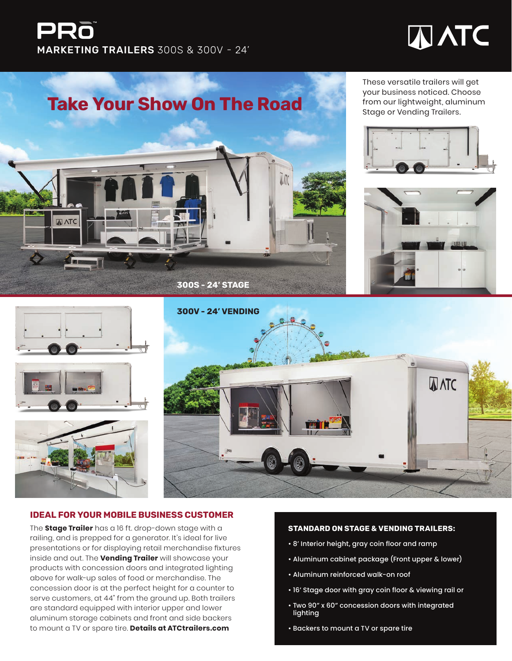## PRò MARKETING TRAILERS 300S & 300V - 24'

# **TANC**



These versatile trailers will get your business noticed. Choose









#### **IDEAL FOR YOUR MOBILE BUSINESS CUSTOMER**

The **Stage Trailer** has a 16 ft. drop-down stage with a railing, and is prepped for a generator. It's ideal for live presentations or for displaying retail merchandise fixtures inside and out. The **Vending Trailer** will showcase your products with concession doors and integrated lighting above for walk-up sales of food or merchandise. The concession door is at the perfect height for a counter to serve customers, at 44" from the ground up. Both trailers are standard equipped with interior upper and lower aluminum storage cabinets and front and side backers to mount a TV or spare tire. **Details at ATCtrailers.com**

#### **STANDARD ON STAGE & VENDING TRAILERS:**

- 8' Interior height, gray coin floor and ramp
- Aluminum cabinet package (Front upper & lower)
- Aluminum reinforced walk-on roof
- 16' Stage door with gray coin floor & viewing rail or
- Two 90" x 60" concession doors with integrated lighting
- Backers to mount a TV or spare tire